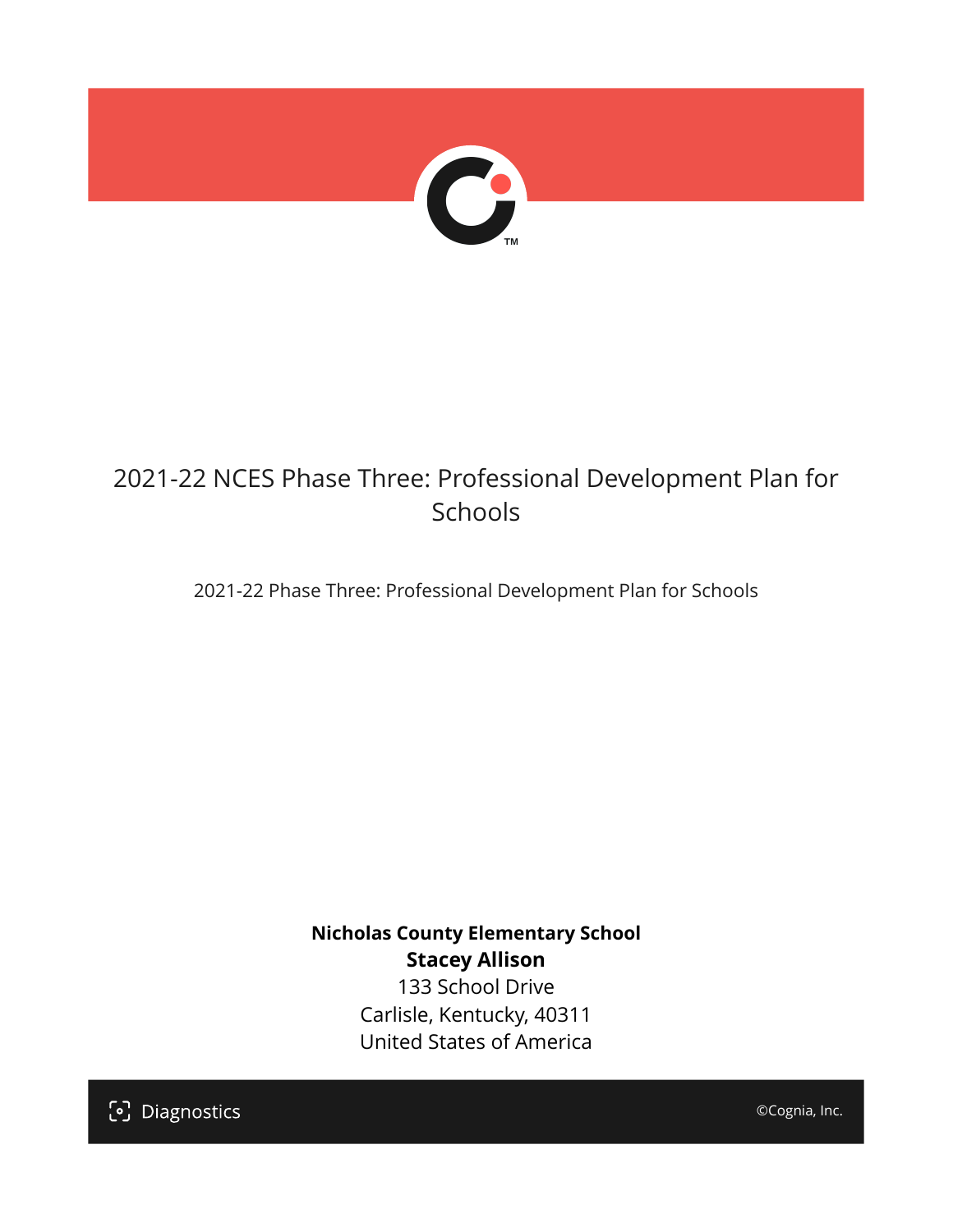

## 2021-22 NCES Phase Three: Professional Development Plan for Schools

2021-22 Phase Three: Professional Development Plan for Schools

**Nicholas County Elementary School Stacey Allison** 133 School Drive Carlisle, Kentucky, 40311 United States of America

[၁] Diagnostics

©Cognia, Inc.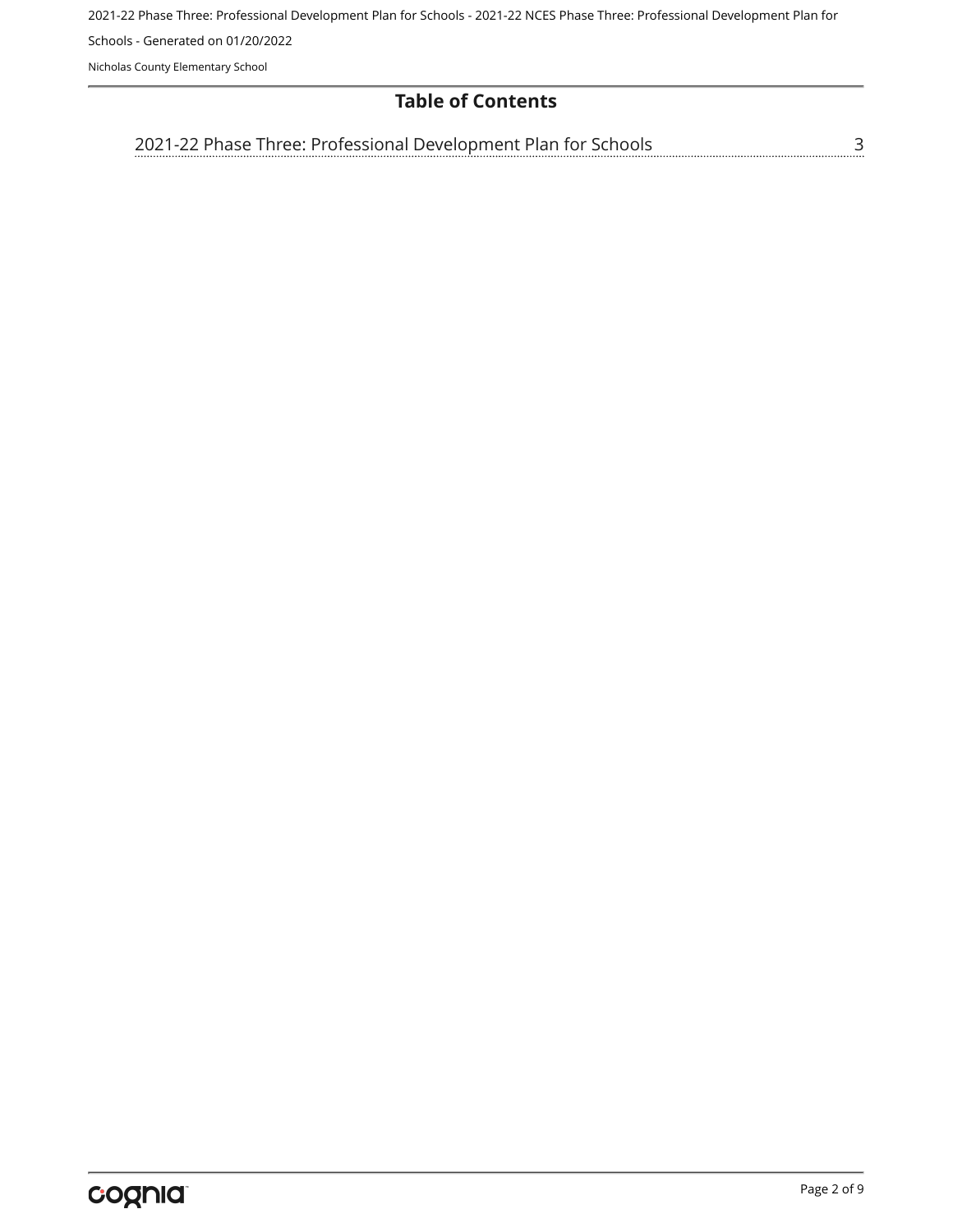2021-22 Phase Three: Professional Development Plan for Schools - 2021-22 NCES Phase Three: Professional Development Plan for

Schools - Generated on 01/20/2022

Nicholas County Elementary School

## **Table of Contents**

[3](#page-2-0) [2021-22 Phase Three: Professional Development Plan for Schools](#page-2-0)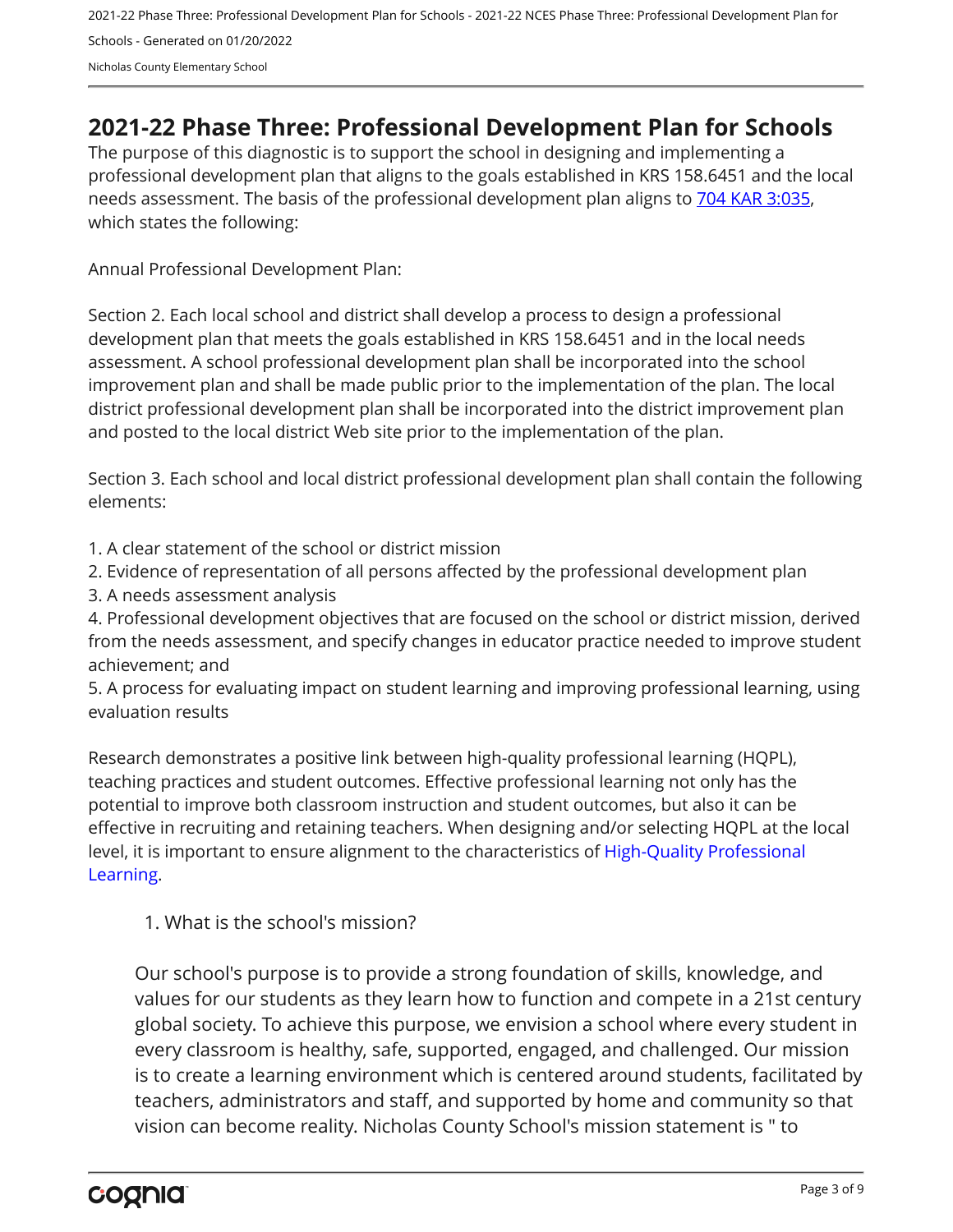## <span id="page-2-0"></span>**2021-22 Phase Three: Professional Development Plan for Schools**

The purpose of this diagnostic is to support the school in designing and implementing a professional development plan that aligns to the goals established in KRS 158.6451 and the local needs assessment. The basis of the professional development plan aligns to [704 KAR 3:035,](https://apps.legislature.ky.gov/Law/kar/704/003/035.pdf) which states the following:

Annual Professional Development Plan:

Section 2. Each local school and district shall develop a process to design a professional development plan that meets the goals established in KRS 158.6451 and in the local needs assessment. A school professional development plan shall be incorporated into the school improvement plan and shall be made public prior to the implementation of the plan. The local district professional development plan shall be incorporated into the district improvement plan and posted to the local district Web site prior to the implementation of the plan.

Section 3. Each school and local district professional development plan shall contain the following elements:

- 1. A clear statement of the school or district mission
- 2. Evidence of representation of all persons affected by the professional development plan
- 3. A needs assessment analysis

4. Professional development objectives that are focused on the school or district mission, derived from the needs assessment, and specify changes in educator practice needed to improve student achievement; and

5. A process for evaluating impact on student learning and improving professional learning, using evaluation results

Research demonstrates a positive link between high-quality professional learning (HQPL), teaching practices and student outcomes. Effective professional learning not only has the potential to improve both classroom instruction and student outcomes, but also it can be effective in recruiting and retaining teachers. When designing and/or selecting HQPL at the local level, it is important to ensure alignment to the characteristics of [High-Quality Professional](https://protect-us.mimecast.com/s/t_VKCmZ28lUj9ElyiG-gxw?domain=education.ky.gov)  [Learning](https://protect-us.mimecast.com/s/t_VKCmZ28lUj9ElyiG-gxw?domain=education.ky.gov).

1. What is the school's mission?

Our school's purpose is to provide a strong foundation of skills, knowledge, and values for our students as they learn how to function and compete in a 21st century global society. To achieve this purpose, we envision a school where every student in every classroom is healthy, safe, supported, engaged, and challenged. Our mission is to create a learning environment which is centered around students, facilitated by teachers, administrators and staff, and supported by home and community so that vision can become reality. Nicholas County School's mission statement is " to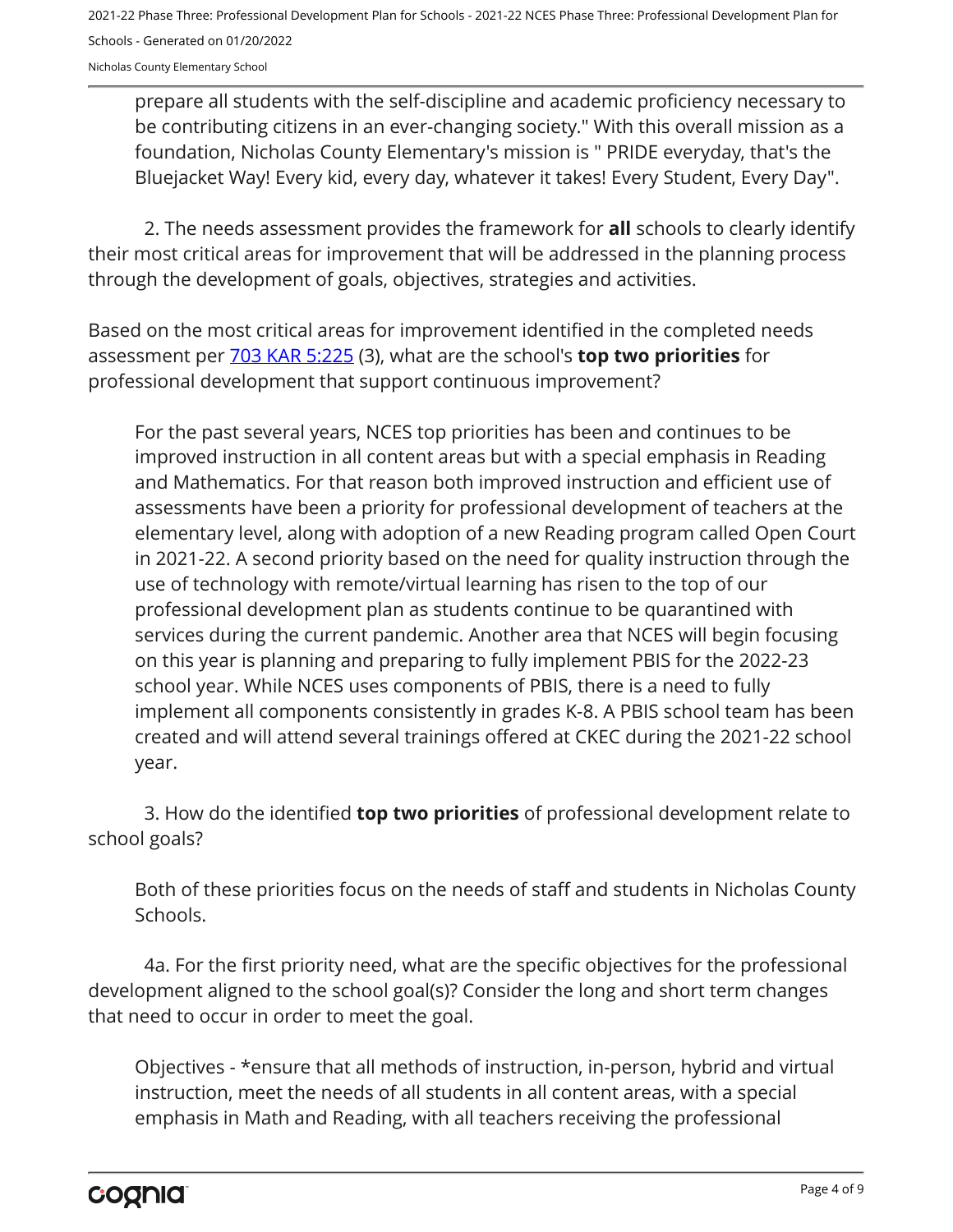prepare all students with the self-discipline and academic proficiency necessary to be contributing citizens in an ever-changing society." With this overall mission as a foundation, Nicholas County Elementary's mission is " PRIDE everyday, that's the Bluejacket Way! Every kid, every day, whatever it takes! Every Student, Every Day".

2. The needs assessment provides the framework for **all** schools to clearly identify their most critical areas for improvement that will be addressed in the planning process through the development of goals, objectives, strategies and activities.

Based on the most critical areas for improvement identified in the completed needs assessment per [703 KAR 5:225](https://apps.legislature.ky.gov/law/kar/703/005/225.pdf) (3), what are the school's **top two priorities** for professional development that support continuous improvement?

For the past several years, NCES top priorities has been and continues to be improved instruction in all content areas but with a special emphasis in Reading and Mathematics. For that reason both improved instruction and efficient use of assessments have been a priority for professional development of teachers at the elementary level, along with adoption of a new Reading program called Open Court in 2021-22. A second priority based on the need for quality instruction through the use of technology with remote/virtual learning has risen to the top of our professional development plan as students continue to be quarantined with services during the current pandemic. Another area that NCES will begin focusing on this year is planning and preparing to fully implement PBIS for the 2022-23 school year. While NCES uses components of PBIS, there is a need to fully implement all components consistently in grades K-8. A PBIS school team has been created and will attend several trainings offered at CKEC during the 2021-22 school year.

3. How do the identified **top two priorities** of professional development relate to school goals?

Both of these priorities focus on the needs of staff and students in Nicholas County Schools.

4a. For the first priority need, what are the specific objectives for the professional development aligned to the school goal(s)? Consider the long and short term changes that need to occur in order to meet the goal.

Objectives - \*ensure that all methods of instruction, in-person, hybrid and virtual instruction, meet the needs of all students in all content areas, with a special emphasis in Math and Reading, with all teachers receiving the professional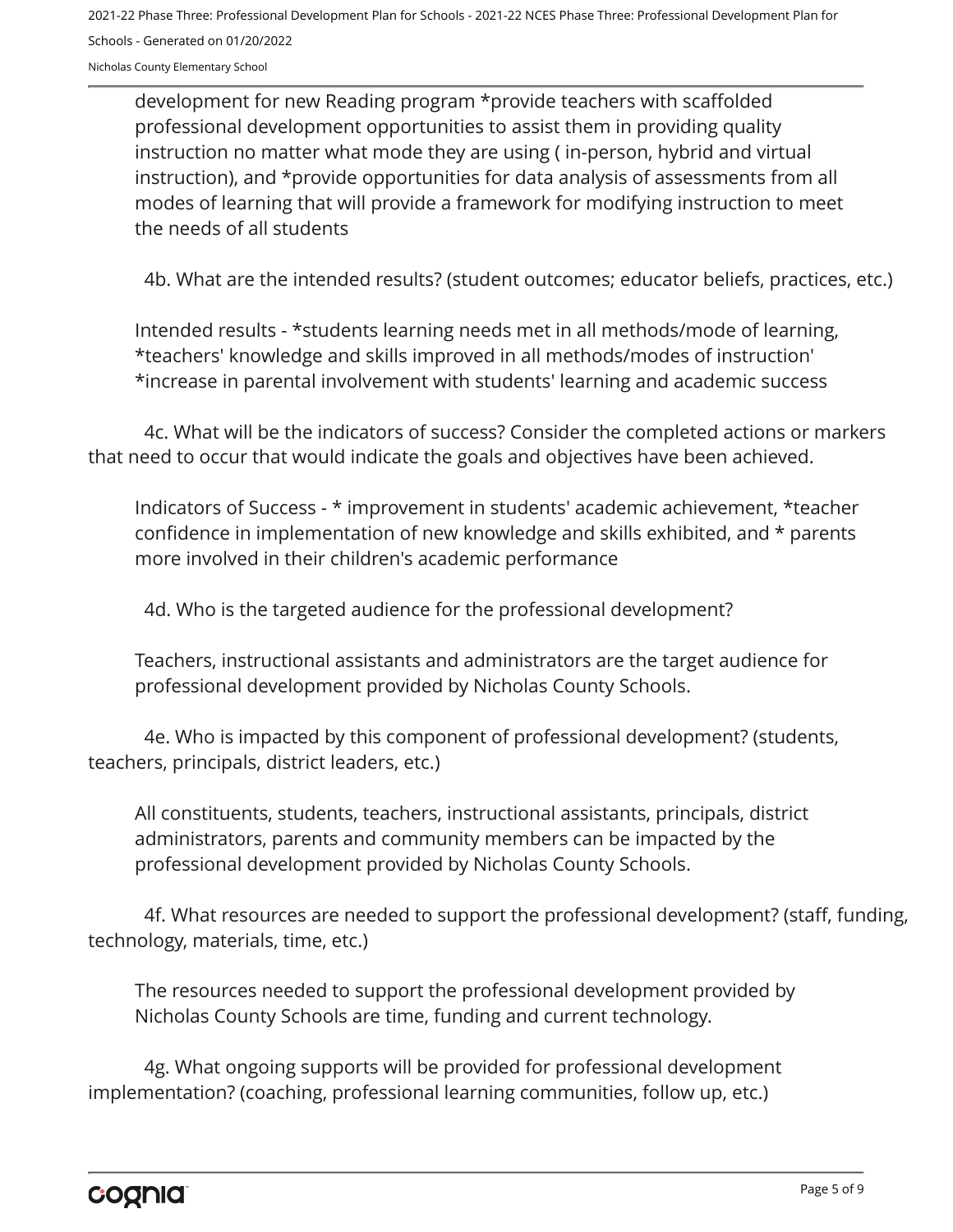development for new Reading program \*provide teachers with scaffolded professional development opportunities to assist them in providing quality instruction no matter what mode they are using ( in-person, hybrid and virtual instruction), and \*provide opportunities for data analysis of assessments from all modes of learning that will provide a framework for modifying instruction to meet the needs of all students

4b. What are the intended results? (student outcomes; educator beliefs, practices, etc.)

Intended results - \*students learning needs met in all methods/mode of learning, \*teachers' knowledge and skills improved in all methods/modes of instruction' \*increase in parental involvement with students' learning and academic success

4c. What will be the indicators of success? Consider the completed actions or markers that need to occur that would indicate the goals and objectives have been achieved.

Indicators of Success - \* improvement in students' academic achievement, \*teacher confidence in implementation of new knowledge and skills exhibited, and \* parents more involved in their children's academic performance

4d. Who is the targeted audience for the professional development?

Teachers, instructional assistants and administrators are the target audience for professional development provided by Nicholas County Schools.

4e. Who is impacted by this component of professional development? (students, teachers, principals, district leaders, etc.)

All constituents, students, teachers, instructional assistants, principals, district administrators, parents and community members can be impacted by the professional development provided by Nicholas County Schools.

4f. What resources are needed to support the professional development? (staff, funding, technology, materials, time, etc.)

The resources needed to support the professional development provided by Nicholas County Schools are time, funding and current technology.

4g. What ongoing supports will be provided for professional development implementation? (coaching, professional learning communities, follow up, etc.)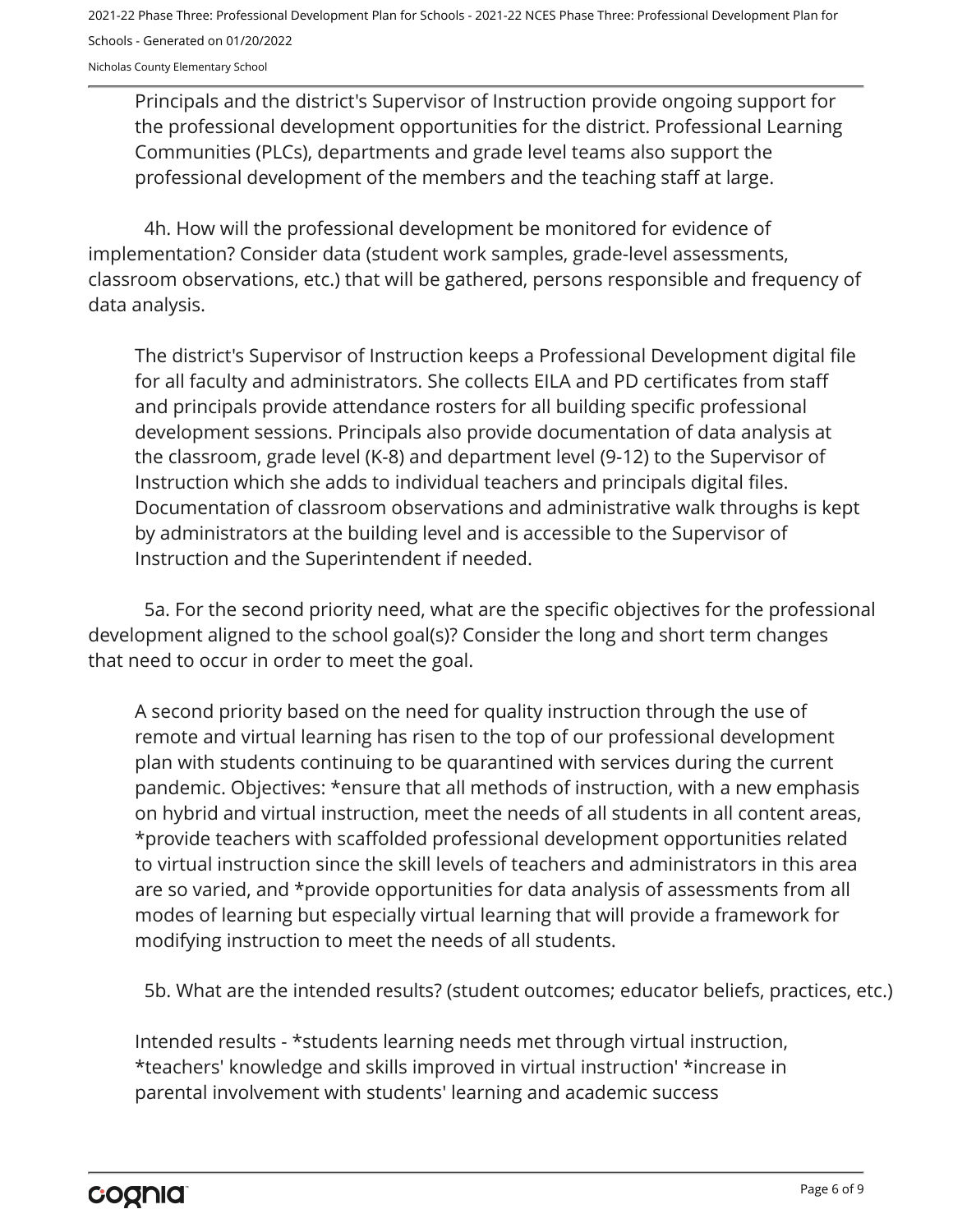Principals and the district's Supervisor of Instruction provide ongoing support for the professional development opportunities for the district. Professional Learning Communities (PLCs), departments and grade level teams also support the professional development of the members and the teaching staff at large.

4h. How will the professional development be monitored for evidence of implementation? Consider data (student work samples, grade-level assessments, classroom observations, etc.) that will be gathered, persons responsible and frequency of data analysis.

The district's Supervisor of Instruction keeps a Professional Development digital file for all faculty and administrators. She collects EILA and PD certificates from staff and principals provide attendance rosters for all building specific professional development sessions. Principals also provide documentation of data analysis at the classroom, grade level (K-8) and department level (9-12) to the Supervisor of Instruction which she adds to individual teachers and principals digital files. Documentation of classroom observations and administrative walk throughs is kept by administrators at the building level and is accessible to the Supervisor of Instruction and the Superintendent if needed.

5a. For the second priority need, what are the specific objectives for the professional development aligned to the school goal(s)? Consider the long and short term changes that need to occur in order to meet the goal.

A second priority based on the need for quality instruction through the use of remote and virtual learning has risen to the top of our professional development plan with students continuing to be quarantined with services during the current pandemic. Objectives: \*ensure that all methods of instruction, with a new emphasis on hybrid and virtual instruction, meet the needs of all students in all content areas, \*provide teachers with scaffolded professional development opportunities related to virtual instruction since the skill levels of teachers and administrators in this area are so varied, and \*provide opportunities for data analysis of assessments from all modes of learning but especially virtual learning that will provide a framework for modifying instruction to meet the needs of all students.

5b. What are the intended results? (student outcomes; educator beliefs, practices, etc.)

Intended results - \*students learning needs met through virtual instruction, \*teachers' knowledge and skills improved in virtual instruction' \*increase in parental involvement with students' learning and academic success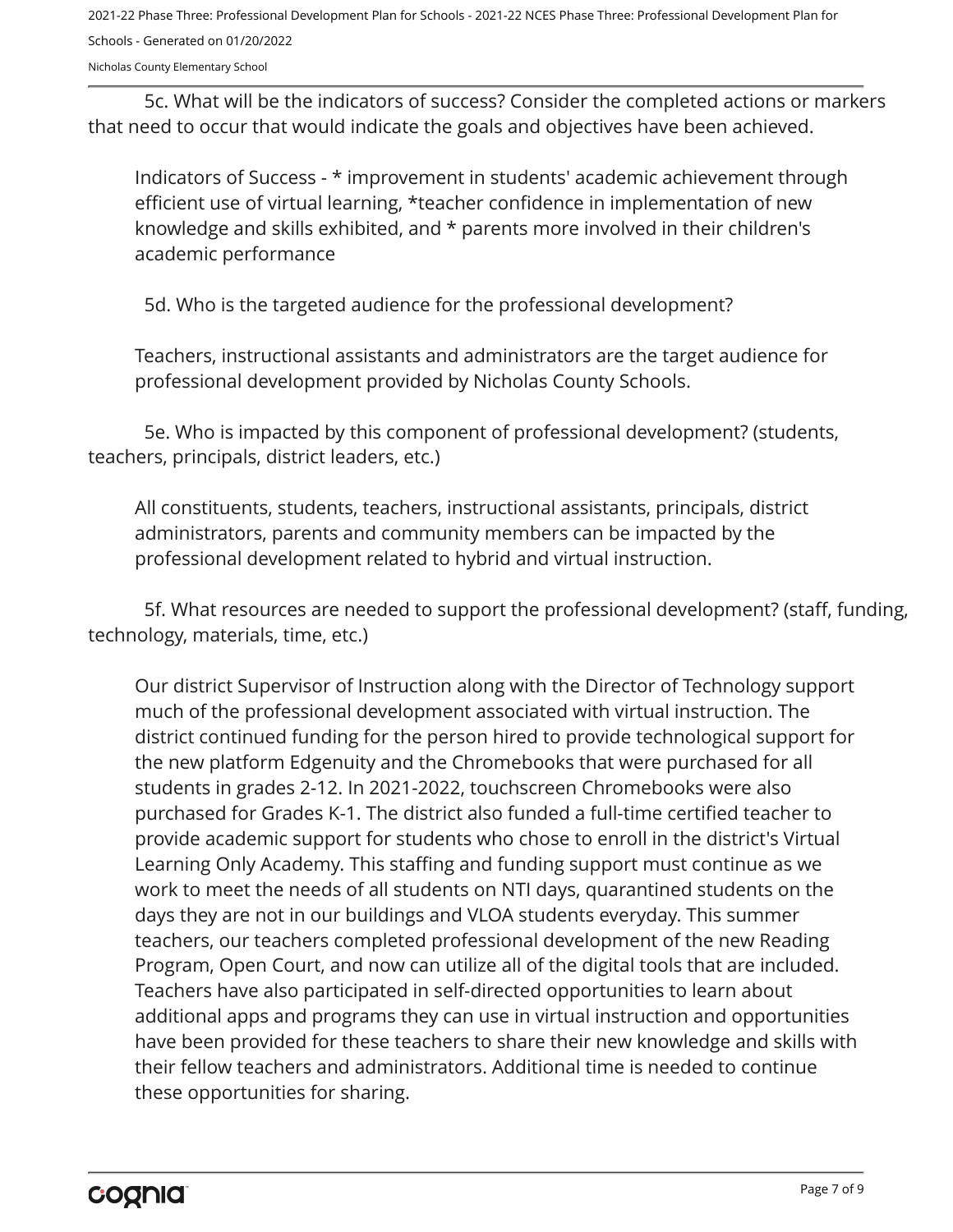2021-22 Phase Three: Professional Development Plan for Schools - 2021-22 NCES Phase Three: Professional Development Plan for Schools - Generated on 01/20/2022

Nicholas County Elementary School

5c. What will be the indicators of success? Consider the completed actions or markers that need to occur that would indicate the goals and objectives have been achieved.

Indicators of Success - \* improvement in students' academic achievement through efficient use of virtual learning, \*teacher confidence in implementation of new knowledge and skills exhibited, and \* parents more involved in their children's academic performance

5d. Who is the targeted audience for the professional development?

Teachers, instructional assistants and administrators are the target audience for professional development provided by Nicholas County Schools.

5e. Who is impacted by this component of professional development? (students, teachers, principals, district leaders, etc.)

All constituents, students, teachers, instructional assistants, principals, district administrators, parents and community members can be impacted by the professional development related to hybrid and virtual instruction.

5f. What resources are needed to support the professional development? (staff, funding, technology, materials, time, etc.)

Our district Supervisor of Instruction along with the Director of Technology support much of the professional development associated with virtual instruction. The district continued funding for the person hired to provide technological support for the new platform Edgenuity and the Chromebooks that were purchased for all students in grades 2-12. In 2021-2022, touchscreen Chromebooks were also purchased for Grades K-1. The district also funded a full-time certified teacher to provide academic support for students who chose to enroll in the district's Virtual Learning Only Academy. This staffing and funding support must continue as we work to meet the needs of all students on NTI days, quarantined students on the days they are not in our buildings and VLOA students everyday. This summer teachers, our teachers completed professional development of the new Reading Program, Open Court, and now can utilize all of the digital tools that are included. Teachers have also participated in self-directed opportunities to learn about additional apps and programs they can use in virtual instruction and opportunities have been provided for these teachers to share their new knowledge and skills with their fellow teachers and administrators. Additional time is needed to continue these opportunities for sharing.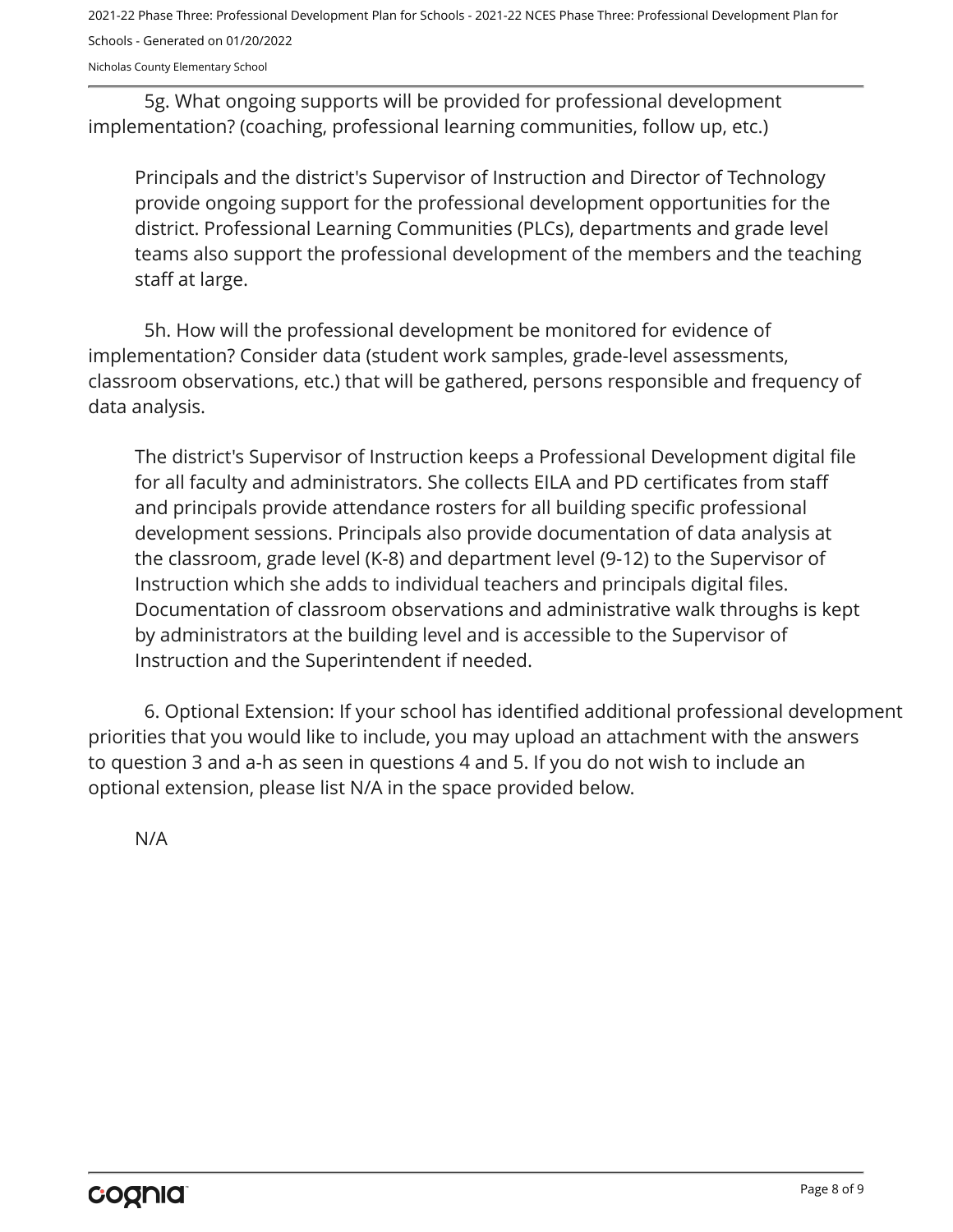2021-22 Phase Three: Professional Development Plan for Schools - 2021-22 NCES Phase Three: Professional Development Plan for Schools - Generated on 01/20/2022

Nicholas County Elementary School

5g. What ongoing supports will be provided for professional development implementation? (coaching, professional learning communities, follow up, etc.)

Principals and the district's Supervisor of Instruction and Director of Technology provide ongoing support for the professional development opportunities for the district. Professional Learning Communities (PLCs), departments and grade level teams also support the professional development of the members and the teaching staff at large.

5h. How will the professional development be monitored for evidence of implementation? Consider data (student work samples, grade-level assessments, classroom observations, etc.) that will be gathered, persons responsible and frequency of data analysis.

The district's Supervisor of Instruction keeps a Professional Development digital file for all faculty and administrators. She collects EILA and PD certificates from staff and principals provide attendance rosters for all building specific professional development sessions. Principals also provide documentation of data analysis at the classroom, grade level (K-8) and department level (9-12) to the Supervisor of Instruction which she adds to individual teachers and principals digital files. Documentation of classroom observations and administrative walk throughs is kept by administrators at the building level and is accessible to the Supervisor of Instruction and the Superintendent if needed.

6. Optional Extension: If your school has identified additional professional development priorities that you would like to include, you may upload an attachment with the answers to question 3 and a-h as seen in questions 4 and 5. If you do not wish to include an optional extension, please list N/A in the space provided below.

N/A